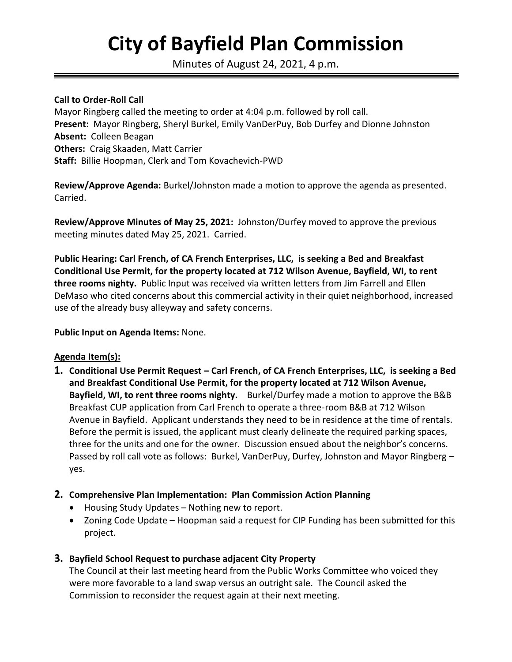# **City of Bayfield Plan Commission**

Minutes of August 24, 2021, 4 p.m.

#### **Call to Order-Roll Call**

Mayor Ringberg called the meeting to order at 4:04 p.m. followed by roll call. **Present:** Mayor Ringberg, Sheryl Burkel, Emily VanDerPuy, Bob Durfey and Dionne Johnston **Absent:** Colleen Beagan **Others:** Craig Skaaden, Matt Carrier **Staff:** Billie Hoopman, Clerk and Tom Kovachevich-PWD

**Review/Approve Agenda:** Burkel/Johnston made a motion to approve the agenda as presented. Carried.

**Review/Approve Minutes of May 25, 2021:** Johnston/Durfey moved to approve the previous meeting minutes dated May 25, 2021. Carried.

**Public Hearing: Carl French, of CA French Enterprises, LLC, is seeking a Bed and Breakfast Conditional Use Permit, for the property located at 712 Wilson Avenue, Bayfield, WI, to rent three rooms nighty.** Public Input was received via written letters from Jim Farrell and Ellen DeMaso who cited concerns about this commercial activity in their quiet neighborhood, increased use of the already busy alleyway and safety concerns.

**Public Input on Agenda Items:** None.

#### **Agenda Item(s):**

- **1. Conditional Use Permit Request – Carl French, of CA French Enterprises, LLC, is seeking a Bed and Breakfast Conditional Use Permit, for the property located at 712 Wilson Avenue, Bayfield, WI, to rent three rooms nighty.** Burkel/Durfey made a motion to approve the B&B Breakfast CUP application from Carl French to operate a three-room B&B at 712 Wilson Avenue in Bayfield. Applicant understands they need to be in residence at the time of rentals. Before the permit is issued, the applicant must clearly delineate the required parking spaces, three for the units and one for the owner. Discussion ensued about the neighbor's concerns. Passed by roll call vote as follows: Burkel, VanDerPuy, Durfey, Johnston and Mayor Ringberg – yes.
- **2. Comprehensive Plan Implementation: Plan Commission Action Planning**
	- Housing Study Updates Nothing new to report.
	- Zoning Code Update Hoopman said a request for CIP Funding has been submitted for this project.

## **3. Bayfield School Request to purchase adjacent City Property**

The Council at their last meeting heard from the Public Works Committee who voiced they were more favorable to a land swap versus an outright sale. The Council asked the Commission to reconsider the request again at their next meeting.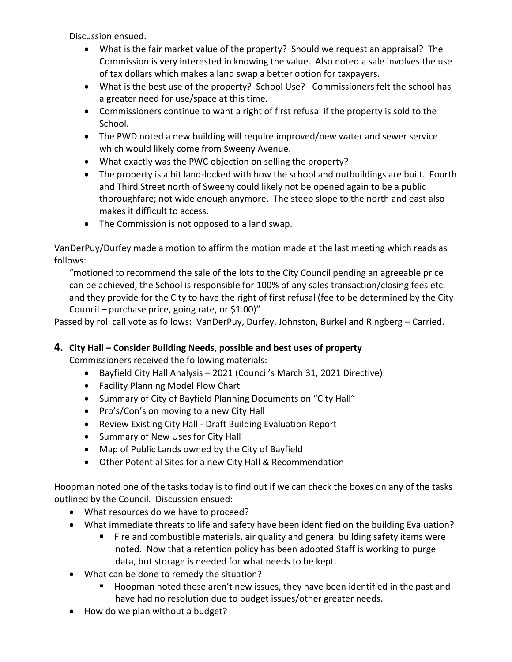Discussion ensued.

- What is the fair market value of the property? Should we request an appraisal? The Commission is very interested in knowing the value. Also noted a sale involves the use of tax dollars which makes a land swap a better option for taxpayers.
- What is the best use of the property? School Use? Commissioners felt the school has a greater need for use/space at this time.
- Commissioners continue to want a right of first refusal if the property is sold to the School.
- The PWD noted a new building will require improved/new water and sewer service which would likely come from Sweeny Avenue.
- What exactly was the PWC objection on selling the property?
- The property is a bit land-locked with how the school and outbuildings are built. Fourth and Third Street north of Sweeny could likely not be opened again to be a public thoroughfare; not wide enough anymore. The steep slope to the north and east also makes it difficult to access.
- The Commission is not opposed to a land swap.

VanDerPuy/Durfey made a motion to affirm the motion made at the last meeting which reads as follows:

"motioned to recommend the sale of the lots to the City Council pending an agreeable price can be achieved, the School is responsible for 100% of any sales transaction/closing fees etc. and they provide for the City to have the right of first refusal (fee to be determined by the City Council – purchase price, going rate, or  $$1.00$ )"

Passed by roll call vote as follows: VanDerPuy, Durfey, Johnston, Burkel and Ringberg – Carried.

## **4. City Hall – Consider Building Needs, possible and best uses of property**

Commissioners received the following materials:

- Bayfield City Hall Analysis 2021 (Council's March 31, 2021 Directive)
- Facility Planning Model Flow Chart
- Summary of City of Bayfield Planning Documents on "City Hall"
- Pro's/Con's on moving to a new City Hall
- Review Existing City Hall Draft Building Evaluation Report
- Summary of New Uses for City Hall
- Map of Public Lands owned by the City of Bayfield
- Other Potential Sites for a new City Hall & Recommendation

Hoopman noted one of the tasks today is to find out if we can check the boxes on any of the tasks outlined by the Council. Discussion ensued:

- What resources do we have to proceed?
- What immediate threats to life and safety have been identified on the building Evaluation?
	- Fire and combustible materials, air quality and general building safety items were noted. Now that a retention policy has been adopted Staff is working to purge data, but storage is needed for what needs to be kept.
- What can be done to remedy the situation?
	- Hoopman noted these aren't new issues, they have been identified in the past and have had no resolution due to budget issues/other greater needs.
- How do we plan without a budget?